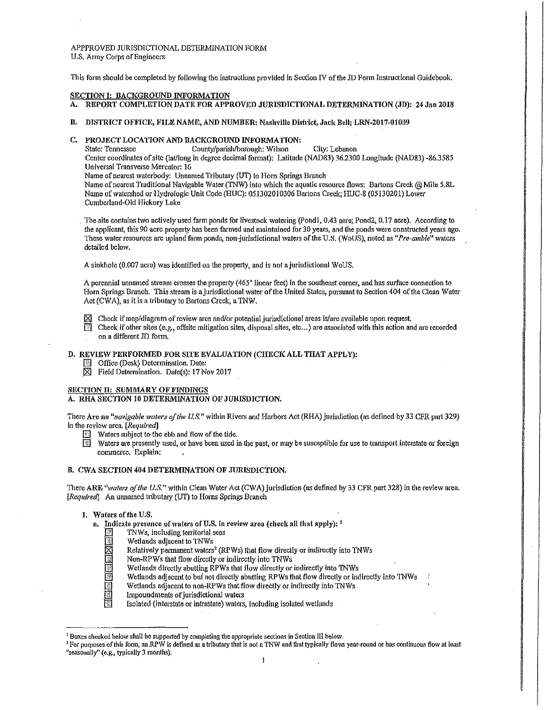# APPPROVED JURTSDICTIONAL DETERMINATION FORM U.S. Army Corps of Engineers

This form should be completed by following the instructions provided in Section IV of the JD Form Instructional Guidebook.

#### SECTION I: BACKGROUND INFORMATION

- A. REPORT COMPLETION DATE FOR APPROVED JURISDICTIONAL DETERMINATION (JD): 24 Jan 2018
- B. DISTRICT OFFICE, FILE NAME, AND NUMBER: Nashville District, Jack Bell; LRN-2017-01009

# C. PROJECT LOCATION AND BACKGROUND INFORMATION:<br>State: Tennessee County/parish/borough: Wilson

County/parish/borough: Wilson City: Lebanon

Center coordinates of site (lat/long in degree decimal format): Latitude (NAD83) 36.2300 Longitude (NAD83) -86.3585 Universal Transverse Mercator: 16

Name of nearest waterbody: Unnamed Tributary (UT) to Horn Springs Branch

Name of nearest Traditional Navigable Water (TNW) into which the aquatic resource flows: Bartons Creek @ Mile 5.8L Namo of watershed or Hydrologic Unit Code (HUC): 051302010306 Bartons Creek; HUC-8 (05130201) Lowe.- Cumberland-Old Hickory Lake

The site contains two actively used farm ponds for livestock watering (Pond1, 0.43 acre; Pond2, 0.17 acre). According to the applicant, this 90 acre property has been farmed and maintained for 30 years, and the ponds were constructed years ago. These water resources are upland farm ponds, non-jurisdictional \Vaters of the U.S. (WoUS), noted as *"Pre-a111ble"* waters detailed below.

A sinkhole (0.007 acre) was identified on the property, and is not a jurisdictional WoUS.

*A* perennial unnamed Stl'eam crosses the property ( 465' linear feet) in the southeast corner, and has surface connection to Horn Springs Branch. This stream is a jurisdictional water of the United States, pursuant to Section 404 of the Clean Water Act (CWA), as it is a tributary to Bartons Creek, a TNW.

- The Check if map/diagram of review area and/or potential jurisdictional areas is/are available upon request.<br>In Check if other sites (e.g., offsite mitigation sites, disposal sites, etc...) are associated with this action
- Check if other sites (e.g., offsite mitigation sites, disposal sites, etc...) are associated with this action and are recorded on a different JD form,

# D. REVIEW PERFORMED FOR SITE EVALUATION (CHECK ALL THAT APPLY):

- **B** Office (Desk) Determination. Date:
- $\boxtimes$  Field Determination. Date(s): 17 Nov 2017

# SECTION II: SUMMARY OF FINDINGS

# A. RHA SECTION 10 DETERMINATION OF JURISDICTION.

There Are no *"navigable waters of the U.S."* within Rivers and Harbors Act (RHA) jurisdiction (as defined by 33 CFR part 329) in the review area, *[Required]* 

- Waters subject to the ebb and flow of the tide.
- $\overline{\mathbb{R}}$  Waters are presently used, or have been used in the past, or may be susceptible for use to transport interstate or foreign commerce. Explain:

## B. CWA SECTION 404 DETERMINATION OF JURISDICTION,

There ARE "waters of the U.S." within Clean Water Act (CWA) jurisdiction (as defined by 33 CFR part 328) in the review area. [Required] An unnamed tributary (UT) to Horns Springs Branch

## 1. Waters of the U.S.

- a. Indicate presence of waters of U.S. in review area (check all that apply):  $<sup>1</sup>$ </sup>
	- TNWs, including territorial seas
	- Wetlands adjacent to TNWs
	- Relatively permanent waters<sup>2</sup> (RPWs) that flow directly or indirectly into TNWs
	- Non-RPWs that flow directly or indirectly into TNWs
	- Wetlands directly abutting RPWs that flow directly or indirectly into TNWs
	- Wetlands adjacent to but not directly abutting RPWs that flow directly or indirectly into TNWs
	- Wetlands adjacent to non-RPWs that flow directly or indirectly into TNWs
	- Impoundments of jurisdictional waters
	- Isolated (interstate or intrastate) waters, including isolated wetlands

<sup>&</sup>lt;sup>1</sup> Boxes checked below shall be supported by completing the appropriate sections in Section III below.<br><sup>2</sup> For purposes of this form, an RPW is defined as a tributary that is not a TNW and that typically flows year-round "seasonally" (e.g., typically 3 months).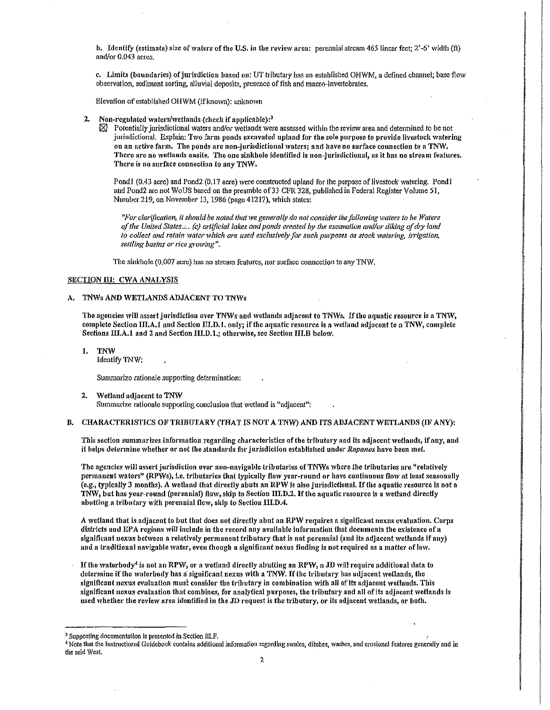b. Identify (estimate) size of waters of the U.S. in the review area: perennial stream 465 linear feet:  $2'-6'$  width (ft) and/or 0.043 acres.

c. Limits (boundaries) of jurisdiction based on: UT tributary has an established OI-IWM, a defined channel; base flow observation, sediment sorting, alluvial deposits, presence of fish and macro-invertebrates,

Elevation of established OHWM (if known): unknown

- 2. Non-regulated waters/wetlands (check if applicable):<sup>3</sup>  $\boxtimes$  Potentially jurisdictional waters and/or wetlands wet
	- Potentially jurisdictional waters and/or wetlands were assessed within the review area and determined to be not jurisdictional. Explain: Two farm ponds excavated upland for the sole purpose to provide livestock watering on an active farm. The ponds are non-jurisdictional waters; and have no surface connection to a TNW. There are no wetlands onsite. The one sinkhole identified is non-jurisdictional, as it has no stream features. There is no surface connection to any TNW.

Pond1 (0.43 acre) and Pond2 (0.17 acre) were constructed upland for the purpose of livestock watering. Pond1 and Pond2 are not WoUS based on the preamble of 33 CFR 328, published in Federal Register Volume 51, Number219, on November 13, 1986 (page 41217), which states:

I

**International** 

*"For clarification, it should be noted that we generally do not consider the following waters to be Waters* of the United States.... (c) artificial lakes and ponds created by the excavation and/or diking of dry land to collect and retain water which are used exclusively for such purposes as stock watering, irrigation, *settling basins* 01• rfce *growing".* 

The sinkhole (0.007 acre) bas no stream features, nor surface connection to any TNW.

#### SECTION III: CWA ANALYSIS

#### A. TNWs AND WETLANDS ADJACENT TO TNWs

The agencies will assert jurisdiction over TNWs and wetlands adjacent to TNWs. If the aquatic resource is a TNW, complete Section  $\text{II1},\text{A1}$  and Section  $\text{III},\text{D1}$ , only; if the aquatic resource is a wetland adjacent to a TNW, complete Sections III.A.1 and 2 and Section III.D.1.; otherwise, see Section III.B below.

1. TNW Identify TNW:

Summarize rationale supporting determination:

2. Wetland adjacent to TNW Summarize rationale supporting conclusion that wetland is "adjacent":

#### B. CHARACTERISTICS OF TRIBUTARY (THAT IS NOT A TNW) AND ITS ADJACENT WETLANDS (IF ANY):

This section summarizes information regarding characteristics of the tributary and its adjacent wetlands, if any, and it helps determine whether or not the standards for jurisdiction established under *Rapanos* have been met.

The agencies will assert jurisdiction over non-navigable tributaries of TNWs where the tributaries are "relatively permanent waters" (RPWs), i.e. tributaries that typically flow year-round or have continuous flow at least seasonally (e.g., typically 3 1nonths), A lvetland that directly abuts an RPW is also jurisdictional, If the aquatic resource is not a TNW, but has year-round (perennial) flow, skip to Section III.D.2. If the aquatic resource is a wetland directly abutting a tributary with perennial flow, skip to Section III.D.4.

A wetland that is adjacent to but that does not directly abut an RPW requires a significant nexus evaluation. Corps districts and EPA regions will include in the record any available information that documents the existence of a significant nexus between a relatively permanent tributary that is not perennial (and its adjacent wetlands if any) and a traditional navigable water, even though a significant nexus finding is not required as a matter of law.

If the waterbody<sup>4</sup> is not an RPW, or a wetland directly abutting an RPW, a JD will require additional data to determine if the waterbody has a significant nexus with a TNW. If the tributary has adjacent wetlands, the significant nexus evaluation must consider the tributary in combination with all of its adjacent wetlands. This significant nexus evaluation that combines, for analytical purposes, the tributary and all of its adjacent wetlands is used whether the review area identified in the JD request is the tributary, or its adjacent wetlands, or both.

<sup>&</sup>lt;sup>3</sup> Supporting documentation is presented in Section III.F.<br><sup>4</sup> Note that the Instructional Guidebook contains additional information regarding swales, ditches, washes, and erosional features generally and in the arid West.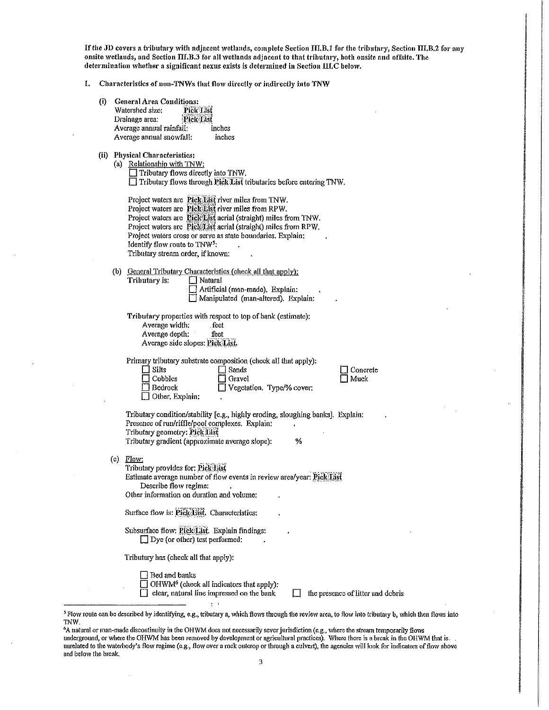If the JD covers a tributary with adjacent wetlands, complete Section III.B.1 for the tributary, Section III.B.2 for any onsite wetlauds, and Section III.B.3 for all wetlands adjacent to that tributary, both onsite and offsite. The determination whether a significant nexus exists is determined in Section III.C below,

1. Characteristics of non-TNWs that flow directly or indirectly into 'TNW

| (i) | <b>General Area Conditions:</b><br>Watershed size:<br><b>Pick List</b><br>Drainage area;<br>Pick List<br>Average annual rainfall:<br>inches<br>Average annual snowfall:<br>inches                                                                                                                                                                                                             |
|-----|-----------------------------------------------------------------------------------------------------------------------------------------------------------------------------------------------------------------------------------------------------------------------------------------------------------------------------------------------------------------------------------------------|
|     | (ii) Physical Characteristics:<br>(a) Relationship with TNW:<br>Tributary flows directly into TNW.<br>Tributary flows through Pick List tributaries before entering TNW.                                                                                                                                                                                                                      |
|     | Project waters are Pick List river miles from TNW.<br>Project waters are Pick Eist river miles from RPW.<br>Project waters are Pick List aerial (straight) miles from TNW.<br>Project waters are Pick List aerial (straight) miles from RPW.<br>Project waters cross or serve as state boundaries. Explain;<br>Identify flow route to TNW <sup>5</sup> :<br>Tributary stream order, if known: |
|     | (b) General Tributary Characteristics (check all that apply):<br>Tributary is:<br>$\Box$ Natural<br>Artificial (man-made). Explain:<br>Manipulated (man-altered). Explain:                                                                                                                                                                                                                    |
|     | Tributary properties with respect to top of bank (estimate):<br>Average width:<br>feet<br>Average depth:<br>feet<br>Average side slopes: Pick List.                                                                                                                                                                                                                                           |
|     | Primary tributary substrate composition (check all that apply):<br>Silts<br>Sands<br>Concrete<br>Cobbles<br>Gravel<br>Muck<br><b>Bedrock</b><br>Vegetation. Type/% cover:<br>$\Box$ Other. Explain:                                                                                                                                                                                           |
|     | Tributary condition/stability [e.g., highly eroding, sloughing banks]. Explain:<br>Presence of run/riffle/pool complexes. Explain:<br>Tributary geometry: Pick List<br>Tributary gradient (approximate average slope):<br>%                                                                                                                                                                   |
|     | (c) $Flow:$<br>Tributary provides for: Pick List<br>Estimate average number of flow events in review area/year: Pick List<br>Describe flow regime:<br>Other information on duration and volume:                                                                                                                                                                                               |
|     | Surface flow is: Pick List. Characteristics:                                                                                                                                                                                                                                                                                                                                                  |
|     | Subsurface flow: Pick List. Explain findings:<br>$\Box$ Dye (or other) test performed:                                                                                                                                                                                                                                                                                                        |
|     | Tributary has (check all that apply):                                                                                                                                                                                                                                                                                                                                                         |
|     | Bed and banks<br>OHWM <sup>6</sup> (check all indicators that apply):<br>clear, natural line impressed on the bank<br>the presence of litter and debris<br>$5 - 1$                                                                                                                                                                                                                            |
|     |                                                                                                                                                                                                                                                                                                                                                                                               |

 $\ddot{\phantom{a}}$ 

 $\hat{\boldsymbol{\gamma}}$ 

<sup>&</sup>lt;sup>5</sup> Flow route can be described by identifying, e.g., tributary a, which flows through the review area, to flow into tributary b, which then flows into TNW.

A natural or man-made discontinuity in the OHWM does not necessarily sever jurisdiction (e.g., where the stream temporarily flows underground, or where the OHWM has been removed by development or agricultural practices). Where there is a break in the OHWM that is. uurelated to the waterbody's flow regime (e.g., flow over a rock outcrop or through a culvert), the agencies will look for indicators of flow above and below the break.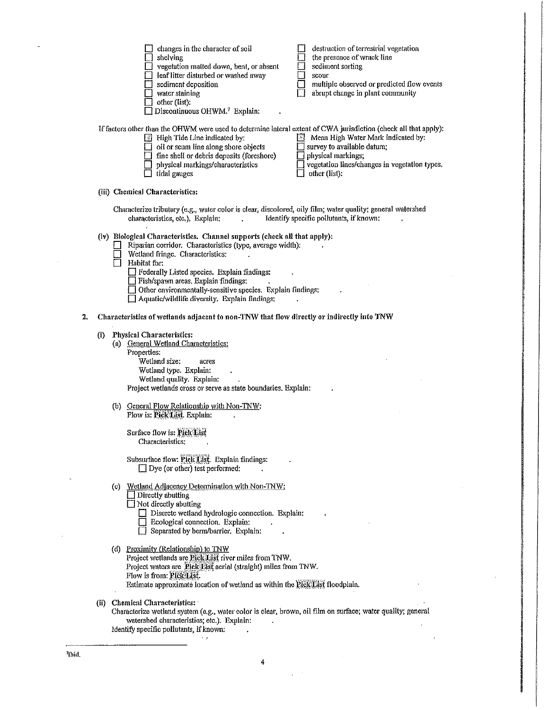|    |                                                                                                                                                                                            | changes in the character of soil<br>shelving<br>vegetation matted down, bent, or absent<br>leaf litter disturbed or washed away<br>sediment deposition<br>water staining<br>other (list):<br>Discontinuous OHWM. <sup>7</sup> Explain:                                                                                                                                                                 | destruction of terrestrial vegetation<br>the presence of wrack line<br>sediment sorting<br>scour<br>multiple observed or predicted flow events<br>abrupt change in plant community |  |  |  |  |  |
|----|--------------------------------------------------------------------------------------------------------------------------------------------------------------------------------------------|--------------------------------------------------------------------------------------------------------------------------------------------------------------------------------------------------------------------------------------------------------------------------------------------------------------------------------------------------------------------------------------------------------|------------------------------------------------------------------------------------------------------------------------------------------------------------------------------------|--|--|--|--|--|
|    |                                                                                                                                                                                            | If factors other than the OHWM were used to determine lateral extent of CWA jurisdiction (check all that apply):<br>$\Box$ High Tide Line indicated by:<br>oil or scum line along shore objects<br>fine shell or debris deposits (foreshore)<br>physical markings/characteristics<br>tidal gauges                                                                                                      | $\Box$ Mean High Water Mark indicated by:<br>survey to available datum;<br>physical markings;<br>vegetation lines/changes in vegetation types.<br>other (list):                    |  |  |  |  |  |
|    |                                                                                                                                                                                            | (iii) Chemical Characteristics:                                                                                                                                                                                                                                                                                                                                                                        |                                                                                                                                                                                    |  |  |  |  |  |
|    | Characterize tributary (e.g., water color is clear, discolored, oily film; water quality; general watershed<br>Identify specific pollutants, if known:<br>characteristics, etc.), Explain; |                                                                                                                                                                                                                                                                                                                                                                                                        |                                                                                                                                                                                    |  |  |  |  |  |
|    |                                                                                                                                                                                            | (iv) Biological Characteristics. Channel supports (check all that apply):<br>Riparian corridor. Characteristics (type, average width):<br>Wetland fringe. Characteristics:<br>Habitat for:<br>Federally Listed species. Explain findings:<br>Fish/spawn areas. Explain findings:<br>Other environmentally-sensitive species. Explain findings:<br>$\Box$ Aquatic/wildlife diversity. Explain findings: |                                                                                                                                                                                    |  |  |  |  |  |
| 2. |                                                                                                                                                                                            | Characteristics of wetlands adjacent to non-TNW that flow directly or indirectly into TNW                                                                                                                                                                                                                                                                                                              |                                                                                                                                                                                    |  |  |  |  |  |
|    | (i)                                                                                                                                                                                        | <b>Physical Characteristics:</b><br>(a) General Wetland Characteristics:<br>Properties:<br>Wetland size:<br>acres<br>Wetland type. Explain:<br>Wetland quality. Explain:<br>Project wetlands cross or serve as state boundaries. Explain:                                                                                                                                                              |                                                                                                                                                                                    |  |  |  |  |  |
|    |                                                                                                                                                                                            | (b) General Flow Relationship with Non-TNW:<br>Flow is: Pick List. Explain:                                                                                                                                                                                                                                                                                                                            |                                                                                                                                                                                    |  |  |  |  |  |
|    |                                                                                                                                                                                            | Surface flow is: Pick List<br>Characteristics:                                                                                                                                                                                                                                                                                                                                                         |                                                                                                                                                                                    |  |  |  |  |  |
|    |                                                                                                                                                                                            | Subsurface flow: Pick List. Explain findings:<br>$\Box$ Dye (or other) test performed:                                                                                                                                                                                                                                                                                                                 |                                                                                                                                                                                    |  |  |  |  |  |
|    |                                                                                                                                                                                            | (c) Wetland Adjacency Determination with Non-TNW:<br>Directly abutting<br>$\Box$ Not directly abutting<br>Discrete wetland hydrologic connection. Explain:<br>Beological connection. Explain:<br>Separated by berm/barrier. Explain:                                                                                                                                                                   |                                                                                                                                                                                    |  |  |  |  |  |
|    |                                                                                                                                                                                            | (d) Proximity (Relationship) to TNW<br>Project wetlands are Pick List river miles from TNW.<br>Project waters are Pick List aerial (straight) miles from TNW.<br>Flow is from: Pick List.<br>Estimate approximate location of wetland as within the Pick List floodplain.                                                                                                                              |                                                                                                                                                                                    |  |  |  |  |  |
|    |                                                                                                                                                                                            | (ii) Chemical Characteristics:<br>Characterize wetland system (e.g., water color is clear, brown, oil film on surface; water quality; general<br>watershed characteristics; etc.). Explain:<br>Identify specific pollutants, if known:                                                                                                                                                                 |                                                                                                                                                                                    |  |  |  |  |  |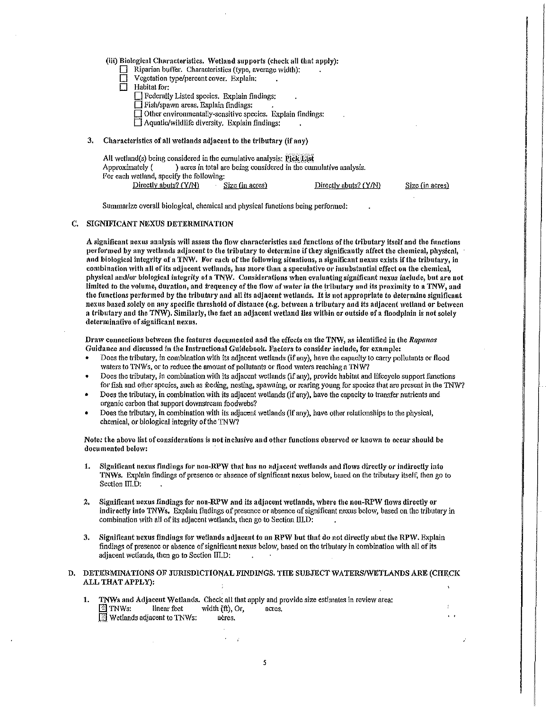(iii) Biological Characteristics. Wetland supports {check all that apply):

- $\Box$  Riparian buffer. Characteristics (type, average width):
- Vegetation type/percent cover. Explain;
- $\Box$  Habitat for:
	- D Federally Listed species. Explain findings:
	- 0 Fishfspawn areas. Explain findings:
	- □ Other environmentally-sensitive species. Explain findings:
	- $\Box$  Aquatic/wildlife diversity. Explain findings:

## 3. Characteristics of all wetlands adjacent to the tributary (if any)

| All wetland(s) being considered in the cumulative analysis: Pick List |                                                                   |                       |  |  |  |  |  |  |  |
|-----------------------------------------------------------------------|-------------------------------------------------------------------|-----------------------|--|--|--|--|--|--|--|
| Approximately (                                                       | ) acres in total are being considered in the cumulative analysis. |                       |  |  |  |  |  |  |  |
| For each wetland, specify the following:                              |                                                                   |                       |  |  |  |  |  |  |  |
| Directly abuts? (Y/N)                                                 | Size (in acres)                                                   | Directly abuts? (Y/N) |  |  |  |  |  |  |  |

Summarize overall biological, chemical and physical functions being perfonned:

# C. SIGNJFICANT NEXUS DETERMINATION

A significant nexus analysis will assess the flow characteristics and functions of the tributary itself and the functions performed by any wetlands adjacent to the tributary to detcrntine if they significantly affect the chemical, physical, and biological integrity of a TNW. For each of the following situations, a significant nexus exists if the tributary, in combination with all of its adjacent wetlands, has more than a speculative or insubstantial effect on the chemical, physical and/or biological intogrity of a TNW. Considerations rvhen evaluating significant nexus include) but are not limited to the volume, duration, and frequency of the flow of water in the tributary and its proximity to a TNW, and the functions performed by the tributary and all its adjacent wetlands. It is not appropriate to determine significant nexus based solely on any specific threshold of distance (e.g. between a tributary and its adjacent wetland or between a tributary and the TNW). Similarly, the fact an adjacent wetland lies within or outside of a floodplain is not solely determinative of significant nexus.

Size (in acres)

Draw connections between the features documented and the effects on the TNW, as identified in the *Rapanos* Guidance and discussed in the Instructional Guidebook. Factors to consider include) for example:

- Does the tributary, in combination with its adjacent wetlands (if any), have the capacity to carry pollutants or flood waters to TNWs, or to reduce the amount of pollutants or flood waters reaching a TNW?
- Does the tributary, in combination \vith its adjacent wetlands (if any), provide habitat and lifecycle support functions for fish and other species, such as feeding, nesting, spawning, or rearing young for species that are present in the TNW?
- Does the tributary, in combination with its adjacent wetlands (if any), have the capacity to transfer nutrients and organic carbon that support downstream foodwebs?
- Does the tributary, in combination with its adjacent wetlands (if any), have other relationships to the physical, chemical, or biological integrity of the TNW?

Note: the above list of considerations is not inclusive and other functions observed or known to occur should be documented below:

- 1. Significant nexus findings for non-RPW that has no adjacent wetlands and flows directly or indirectly into TNWs. Explain findings of presence or absence of significant nexus below, based on the tributary itself, then go to Section III.D:
- 2. Significant nexus findings for non-RPW and its adjacent wetlands, where the non-RPW flows directly or indirectly into TNWs. Explain findings of presence or absence of significant nexus below, based on the tributary in combination with all of its adjacent wetlands, then go to Section III.D:
- 3. Significant nexus findings for wetlands adjacent to an RPW but that do not directly abut the RPW. Explain findings of presence or absence of significant nexus below, based on the tributary in combination with all of its adjacent wetlands, then go to Section ffi.D:  $\mathcal{L}$

#### D. DETERMINATIONS OF JURISDICTIONAL FINDINGS. THE SUBJECT WATERS/WETLANDS ARE (CHE.CK ALL THAT APPLY):

1. TNWs and Adjacent Wetlands. Check all that apply and provide size estimates in review area:  $\mathbb{E}$  TNWs: linear feet width (ft), Or, acres.  $\overline{\mathbb{Z}}$  Wetlands adjacent to TNWs: acres.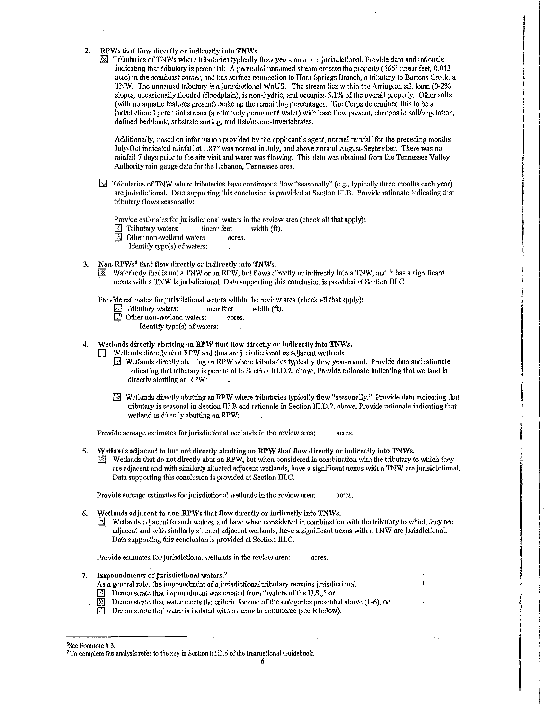- 2. RPWs that flow directly or indirectly into TNWs.
	- $\boxtimes$  Tributaries of TNWs where tributaries typically flow year-round are jurisdictional. Provide data and rationale indicating that tributary is perennial: A perennial unnamed stream crosses the properly (465' linear feet, 0.043 acre) in the southeast corner, and has surface connection to Horn Springs Branch, a tributary to Bartons Creek, a 1NW. The unnamed tributary is ajurisdictional WoUS. The stream lies within the Arrington silt loam (0~2% slopes, occasionally flooded (floodplain), is non-hydric, and occupies 5.1% of the overall property. Other soils (with no aquatic features present) make up the remaining percentages. The Corps determined this to be a jurisdictional perennial stream (a relatively permanent water) with base flow present, changes in soil/vegetation, defined bed/bank, substrate sorting, and fish/macro-invertebrates.

Additionally, based on infonnation provided by the applicant's agent, normal rainfall for the preceding months July-Oct indicated rainfall at 1.87" was normal in July, and above normal August-September, There was no rainfall 7 days prior to the site visit and water was flowing. This data was obtained from the Tennessee Valley Authority rain gauge data for the Lebanon, Tennessee area.

 $\mathbb{Z}$  Tributaries of TNW where tributaries have continuous flow "seasonally" (e.g., typically three months each year) are jurisdictional. Data supporting this conclusion is provided at Section III.B. Provide rationale indicating that tributary flows seasonally:

Provide estimates for jurisdictional waters in the review area (check all that apply):<br> $\boxed{\hat{\mathbb{S}}}$  Tributary waters: linear feet width (ft).

ILI Tributary waters: linear feet  $\frac{1}{2}$  Other non-wetland waters: act

Other non-wetland waters: acres.

- Identify type(s) of waters:
- 3. Non-RPWs<sup>8</sup> that flow directly or indirectly into TNWs.
	- Waterbody that is not a TNW or an RPW, but flows directly or indirectly into a TNW, and it has a significant nexus with a TNW is jurisdictional. Data supporting this conclusion is provided at Section III.C.

Provide estimates for jurisdictional waters within the review area (check all that apply):

- $\Box$  Tributary waters: linear feet width (ft).
- $\boxed{\color{blue}$  Other non-wetland waters: acres.
	- Identify type(s) of waters:

Wetlands directly abutting an RPW that flow directly or indirectly into TNWs.

Wetlands directly abut RPW and thus arc jurisdictional as adjacent wetlands.

- $\boxed{\phantom{1}8}$  Wetlands directly abutting an RPW where tributaries typically flow year-round. Provide data and rationale indicating that tributary *is* perennial in Section III.D,2, above. Provide rationale indicating that wetland is directly abutting an RPW:
- **I** Wetlands directly abutting an RPW where tributaries typically flow "seasonally." Provide data indicating that tributmy is seasonal in Section IlI.B and rationale in Section 111.D.2, above. Provide rationale indicating that wetland is directly abutting anRPW:

Provide acreage estimates for jurisdictional wetlands in the review area: acres.

- 5. Wetlands adjacent to but not directly nbutting an RPW that flow directly or indirectly into TNWs.
	- $\mathbb{E}$  Wetlands that do not directly abut an RPW, but when considered in combination with the tributary to which they are adjacent and 'vith similarly situated adjacent wetlands. have a significant nexus with a TNW are jurisidictional. Data supporting this conclusion is provided at Section III,C.

Provide acreage estimates for jurisdictional wetlands in the review area: acres.

- Wetlands adjacent to non-RPWs that flow directly or indirectly into TNWs.
	- [JJ Wetlands adjacent to such 'vaters, and have when considered in combination with the tributary to which they arc adjacent and with similarly situated adjacent 'vetlands, have a significant nexus with a TNW are jurisdictional. Data supporting this conclusion is provided at Section lll.C.

Provide estimates for jurisdictional wetlands in the review area: acres.

- 7. Impoundments of jurisdictional waters.<sup>9</sup>
	- As a general rule, the impoundment of a jurisdictional tributary remains jurisdictional.
	- **EXECUTE:** Demonstrate that impoundment was created from "waters of the U.S.," or

Demonstrate that water meets the criteria for one of the categories presented above (1-6), or

**E** Demonstrate that water is isolated with a nexus to commerce (see E below).

<sup>8</sup> Sce Footnote# 3.

<sup>&</sup>lt;sup>9</sup> To complete the analysis refer to the key in Section HLD.6 of the Instructional Guidebook.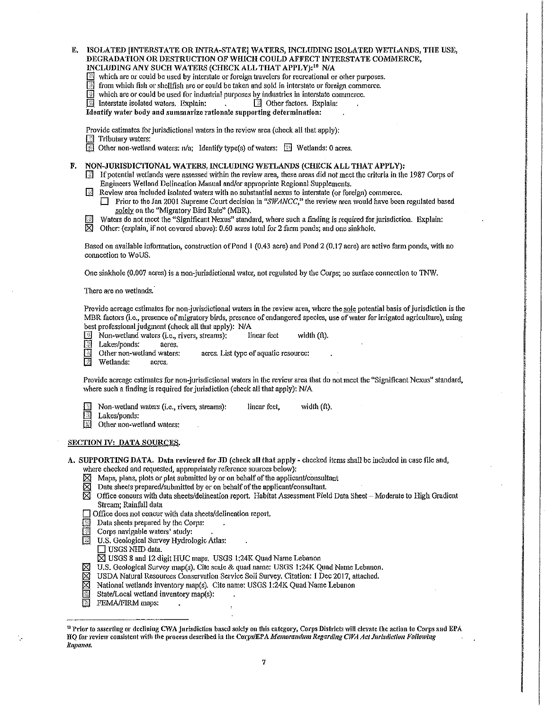- E. ISOLATED [INTERSTATE OR INTRA-STATE] WATERS, INCLUDING ISOLATED WETLANDS, THE USE, DEGRADATION OR DESTRUCTION OF WHICH COULD AFFECT INTERSTATE COMMERCE, INCLUDING ANY SUCH WATERS (CHECK ALL THAT APPLY):'° NIA
	- $\mathbb{R}$  which are or could be used by interstate or foreign travelers for recreational or other purposes.
	- $\overline{\mathbb{I}}$  from which fish or shellfish are or could be taken and sold in interstate or foreign commerce.
	-
	- which are or could be used for industrial purposes by industries in interstate commerce.<br>
	Interstate isolated waters, Explain:  $\Box$  Other factors. Explain:  $\overline{\mathbb{I}}$  Interstate isolated waters. Explain:
	- Identify water body and summarize rationale supporting determination:

Provide estimates for jurisdictional waters in the review area (check all that apply):

- [] Tributary waters:
- GI Other non-wetland waters:  $n/a$ ; Identify type(s) of waters:  $\Box$  Wetlands: 0 acres.
- F. NON-JURISDIC110NAL WATERS, INCLUDING WETLANDS (CHECK ALL THAT APPLY):
	- If potential wetlands were assessed within the review area, these areas did not meet the criteria in the 1987 Corps of Engineers Wetland Delineation Manual and/or appropriate Regional Supplements.
	- $\Box$  Review area included isolated waters with no substantial nexus to interstate (or foreign) commerce,
		- **D** Prior to the Jan 2001 Supreme Court decision in "SWANCC," the review area would have been regulated based solely on the "Migratory Bird Rule" (MBR).
	- Waters do not meet the "Significant Nexus" standard, where such a finding is required for jurisdiction. Explain:
	- $\overline{X}$  Other: (explain, if not covered above): 0.60 acres total for 2 farm ponds; and one sinkhole.

Based on available information, construction of Pond 1 (0.43 acre) and Pond 2 (0.17 acre) are active farm ponds, with no connection to WoUS.

One sinkhole (0.007 acres) is a non-jurisdictional water, not regulated by the Corps; no surface connection to TNW.

There are no wetlands.

Provide acreage estimates for non-jurisdictional waters in the review area, where the sole potential basis of jurisdiction is the MBR factors (i.e., presence of migratory birds, presence of endangered species, use of water for irrigated agriculture), using

- best professional judgment (check all that apply): N/A<br>
Mon-wetland waters (i.e., rivers, streams): linear feet<br>
Lakes/ponds: acres. Non-wetland waters (i.e., rivers, streams): linear feet width  $(f)$ .
- In Lakes/ponds: acres.<br>In Other non-wetland waters:
- **If** Other non-wetland waters: acres. List type of aquatic resource:<br>If Wetlands: acres.
- Wetlands:

Provide acreage estimates for non-jurisdictional waters in the review area that do not meet the "Significant Nexus" standard, where such a finding is required for jurisdiction (check all that apply): N/A

|  | Non-wetland waters (i.e., rivers, streams): | linear feet. | width (ft). |
|--|---------------------------------------------|--------------|-------------|
|--|---------------------------------------------|--------------|-------------|

- Lakes/ponds:
- Other non-wetland waters:

# SECTION IV: DATA SOURCES.

- A. SUPPORTING DATA. Data reviewed for JD (check all that apply checked items shall be included in case file and, where checked and requested, appropriately reference sources below):
	-
	- $\boxtimes$  Maps, plans, plots or plat submitted by or on behalf of the applicant/consultant  $\boxtimes$  Data sheets prepared/submitted by or on behalf of the applicant/consultant.
	- $\boxtimes$  Data sheets prepared/submitted by or on behalf of the applicant/consultant.<br>  $\boxtimes$  Office concurs with data sheets/delineation report. Habitat Assessment Fiel Office concurs with data sheets/delineation report. Habitat Assessment Field Data Sheet-Moderate to High Gradient Stream; Rainfall data
	- 0 Office does not concur with data sheets/delineation report,
	- Data sheets prepared by the Corps:
	- Corps navigable waters' study:
	- U.S. Geological Survey Hydrologic Atlas:<br>
	USGS NHD data.
		-
	- $\overline{\boxtimes}$  USGS 8 and 12 digit HUC maps. USGS 1:24K Quad Name Lebanon
	- <p>\n<math>\frac{18}{100}</math> U.S. Geological Survey map(s). Cite scale &amp; quad name: USGS 1:24K Quad Name Lebanon. <br/>\n ISBN 1:24K Quad Nature I dean, 1:24K Quad Nature I dean, 1:24K Quad Nature I dean, 1:24K Quad Nature I dean, 1:24K Quad Name Leban, 1:24K Quad Name Leban, 1:24K Quad Name Leban, 1:24K Quad Name Leban, 1:24K Quad Name Leban, 1:24K Quad Name Leban, 1:24K Quad Name Leban, 1:24K Quad Name Leman, 1:24K Quad Name Leman, 1:24
	- $\overline{8}$  USDA Natural Resources Conservation Service Soil Survey. Citation: 1 Dec 2017, attached,  $\overline{8}$  National wetlands inventory map(s). Cite name: USGS 1:24K Quad Name Lebanon
	- $\boxtimes$  National wetlands inventory map(s). Cite name: USGS 1:24K Quad Name Lebanon<br>State/Local wetland inventory map(s):
	- $\boxtimes$  State/Local wetland inventory map(s):<br> $\boxtimes$  FEMA/FIRM maps:
	- FEMA/FIRM maps:

<sup>&</sup>lt;sup>10</sup> Prior to asserting or declining CWA jurisdiction based solely on this category, Corps Districts will elevate the action to Corps and EPA. HQ for review consistent with the process described in the Corps/EPA Memorandum Regarding CWA Act Jurisdiction Following *Rnpanos.*